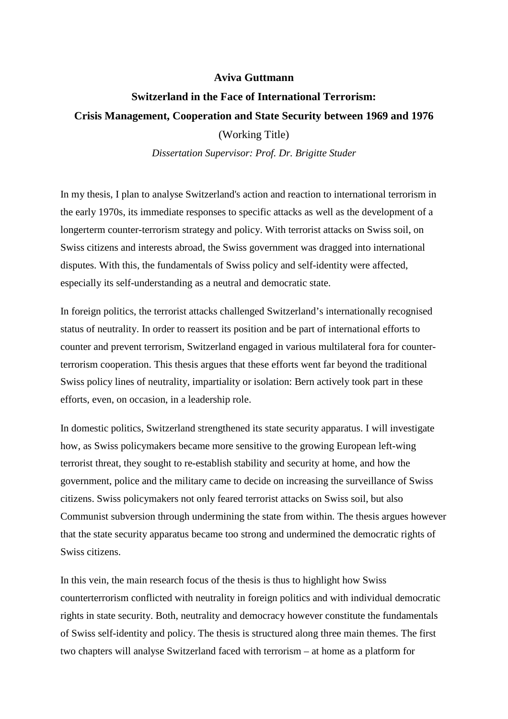## **Aviva Guttmann**

## **Switzerland in the Face of International Terrorism: Crisis Management, Cooperation and State Security between 1969 and 1976**

(Working Title)

*Dissertation Supervisor: Prof. Dr. Brigitte Studer*

In my thesis, I plan to analyse Switzerland's action and reaction to international terrorism in the early 1970s, its immediate responses to specific attacks as well as the development of a longerterm counter-terrorism strategy and policy. With terrorist attacks on Swiss soil, on Swiss citizens and interests abroad, the Swiss government was dragged into international disputes. With this, the fundamentals of Swiss policy and self-identity were affected, especially its self-understanding as a neutral and democratic state.

In foreign politics, the terrorist attacks challenged Switzerland's internationally recognised status of neutrality. In order to reassert its position and be part of international efforts to counter and prevent terrorism, Switzerland engaged in various multilateral fora for counterterrorism cooperation. This thesis argues that these efforts went far beyond the traditional Swiss policy lines of neutrality, impartiality or isolation: Bern actively took part in these efforts, even, on occasion, in a leadership role.

In domestic politics, Switzerland strengthened its state security apparatus. I will investigate how, as Swiss policymakers became more sensitive to the growing European left-wing terrorist threat, they sought to re-establish stability and security at home, and how the government, police and the military came to decide on increasing the surveillance of Swiss citizens. Swiss policymakers not only feared terrorist attacks on Swiss soil, but also Communist subversion through undermining the state from within. The thesis argues however that the state security apparatus became too strong and undermined the democratic rights of Swiss citizens.

In this vein, the main research focus of the thesis is thus to highlight how Swiss counterterrorism conflicted with neutrality in foreign politics and with individual democratic rights in state security. Both, neutrality and democracy however constitute the fundamentals of Swiss self-identity and policy. The thesis is structured along three main themes. The first two chapters will analyse Switzerland faced with terrorism – at home as a platform for